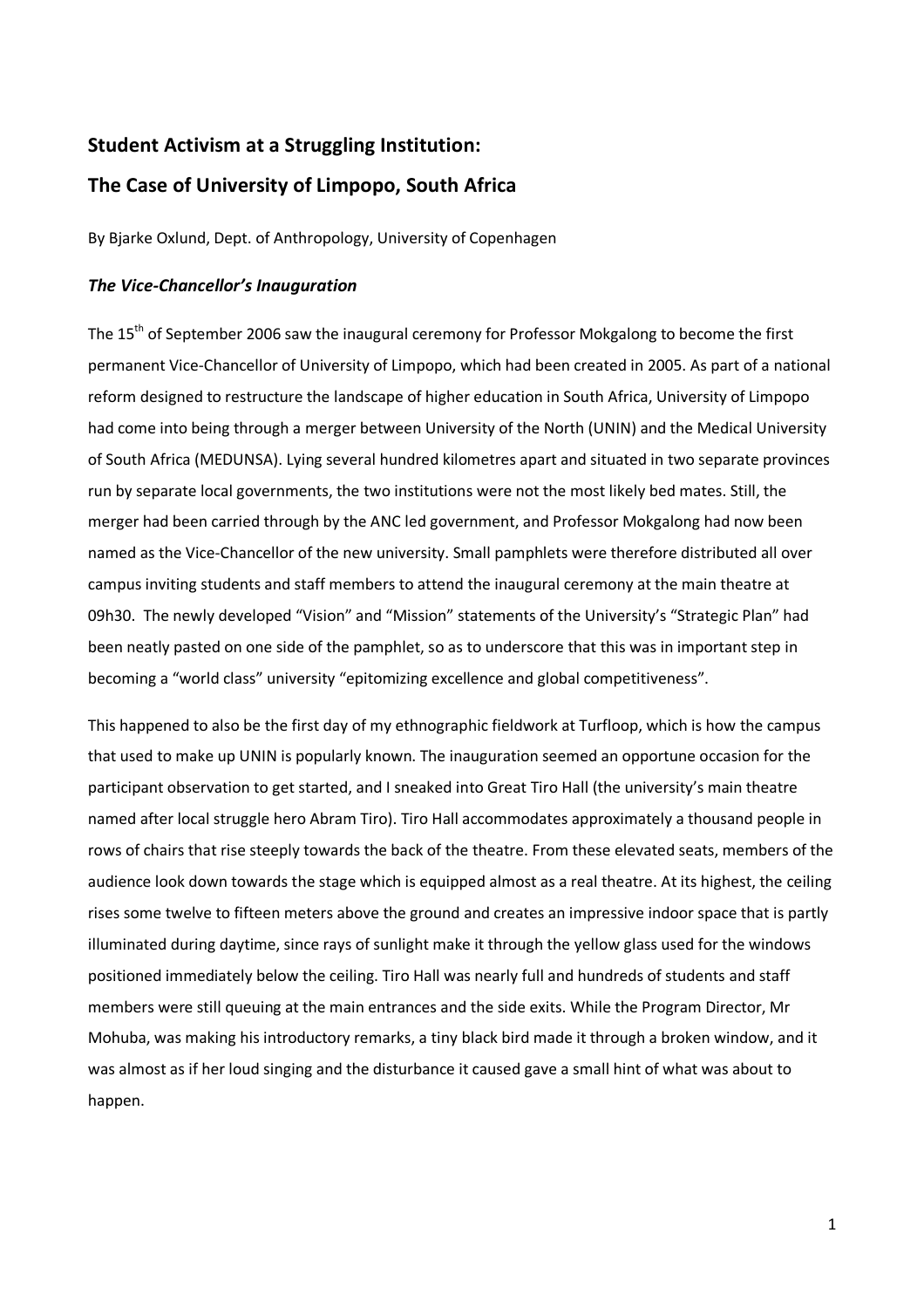# Student Activism at a Struggling Institution:

# The Case of University of Limpopo, South Africa

By Bjarke Oxlund, Dept. of Anthropology, University of Copenhagen

## The Vice-Chancellor's Inauguration

The 15<sup>th</sup> of September 2006 saw the inaugural ceremony for Professor Mokgalong to become the first permanent Vice-Chancellor of University of Limpopo, which had been created in 2005. As part of a national reform designed to restructure the landscape of higher education in South Africa, University of Limpopo had come into being through a merger between University of the North (UNIN) and the Medical University of South Africa (MEDUNSA). Lying several hundred kilometres apart and situated in two separate provinces run by separate local governments, the two institutions were not the most likely bed mates. Still, the merger had been carried through by the ANC led government, and Professor Mokgalong had now been named as the Vice-Chancellor of the new university. Small pamphlets were therefore distributed all over campus inviting students and staff members to attend the inaugural ceremony at the main theatre at 09h30. The newly developed "Vision" and "Mission" statements of the University's "Strategic Plan" had been neatly pasted on one side of the pamphlet, so as to underscore that this was in important step in becoming a "world class" university "epitomizing excellence and global competitiveness".

This happened to also be the first day of my ethnographic fieldwork at Turfloop, which is how the campus that used to make up UNIN is popularly known. The inauguration seemed an opportune occasion for the participant observation to get started, and I sneaked into Great Tiro Hall (the university's main theatre named after local struggle hero Abram Tiro). Tiro Hall accommodates approximately a thousand people in rows of chairs that rise steeply towards the back of the theatre. From these elevated seats, members of the audience look down towards the stage which is equipped almost as a real theatre. At its highest, the ceiling rises some twelve to fifteen meters above the ground and creates an impressive indoor space that is partly illuminated during daytime, since rays of sunlight make it through the yellow glass used for the windows positioned immediately below the ceiling. Tiro Hall was nearly full and hundreds of students and staff members were still queuing at the main entrances and the side exits. While the Program Director, Mr Mohuba, was making his introductory remarks, a tiny black bird made it through a broken window, and it was almost as if her loud singing and the disturbance it caused gave a small hint of what was about to happen.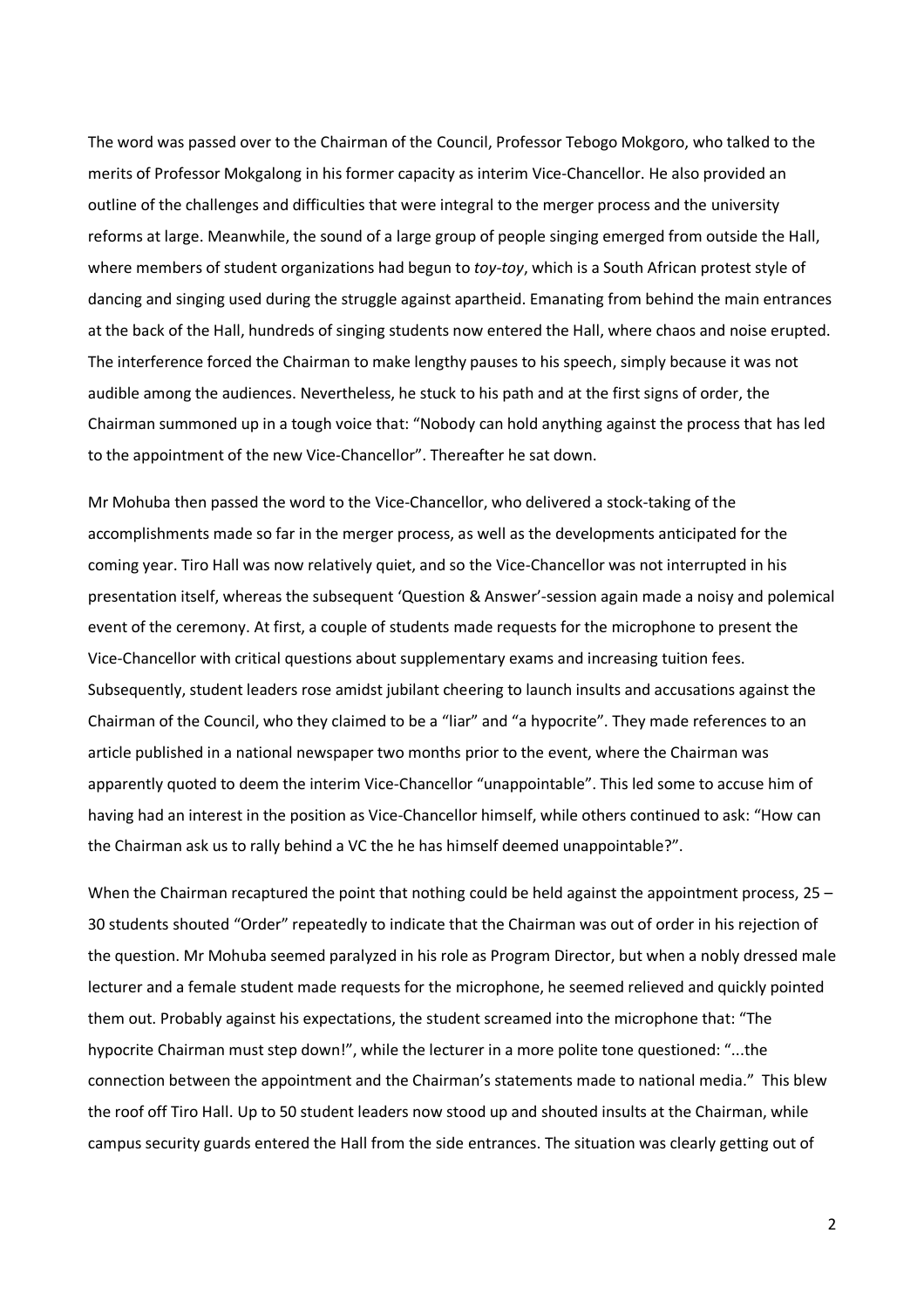The word was passed over to the Chairman of the Council, Professor Tebogo Mokgoro, who talked to the merits of Professor Mokgalong in his former capacity as interim Vice-Chancellor. He also provided an outline of the challenges and difficulties that were integral to the merger process and the university reforms at large. Meanwhile, the sound of a large group of people singing emerged from outside the Hall, where members of student organizations had begun to toy-toy, which is a South African protest style of dancing and singing used during the struggle against apartheid. Emanating from behind the main entrances at the back of the Hall, hundreds of singing students now entered the Hall, where chaos and noise erupted. The interference forced the Chairman to make lengthy pauses to his speech, simply because it was not audible among the audiences. Nevertheless, he stuck to his path and at the first signs of order, the Chairman summoned up in a tough voice that: "Nobody can hold anything against the process that has led to the appointment of the new Vice-Chancellor". Thereafter he sat down.

Mr Mohuba then passed the word to the Vice-Chancellor, who delivered a stock-taking of the accomplishments made so far in the merger process, as well as the developments anticipated for the coming year. Tiro Hall was now relatively quiet, and so the Vice-Chancellor was not interrupted in his presentation itself, whereas the subsequent 'Question & Answer'-session again made a noisy and polemical event of the ceremony. At first, a couple of students made requests for the microphone to present the Vice-Chancellor with critical questions about supplementary exams and increasing tuition fees. Subsequently, student leaders rose amidst jubilant cheering to launch insults and accusations against the Chairman of the Council, who they claimed to be a "liar" and "a hypocrite". They made references to an article published in a national newspaper two months prior to the event, where the Chairman was apparently quoted to deem the interim Vice-Chancellor "unappointable". This led some to accuse him of having had an interest in the position as Vice-Chancellor himself, while others continued to ask: "How can the Chairman ask us to rally behind a VC the he has himself deemed unappointable?".

When the Chairman recaptured the point that nothing could be held against the appointment process, 25 – 30 students shouted "Order" repeatedly to indicate that the Chairman was out of order in his rejection of the question. Mr Mohuba seemed paralyzed in his role as Program Director, but when a nobly dressed male lecturer and a female student made requests for the microphone, he seemed relieved and quickly pointed them out. Probably against his expectations, the student screamed into the microphone that: "The hypocrite Chairman must step down!", while the lecturer in a more polite tone questioned: "...the connection between the appointment and the Chairman's statements made to national media." This blew the roof off Tiro Hall. Up to 50 student leaders now stood up and shouted insults at the Chairman, while campus security guards entered the Hall from the side entrances. The situation was clearly getting out of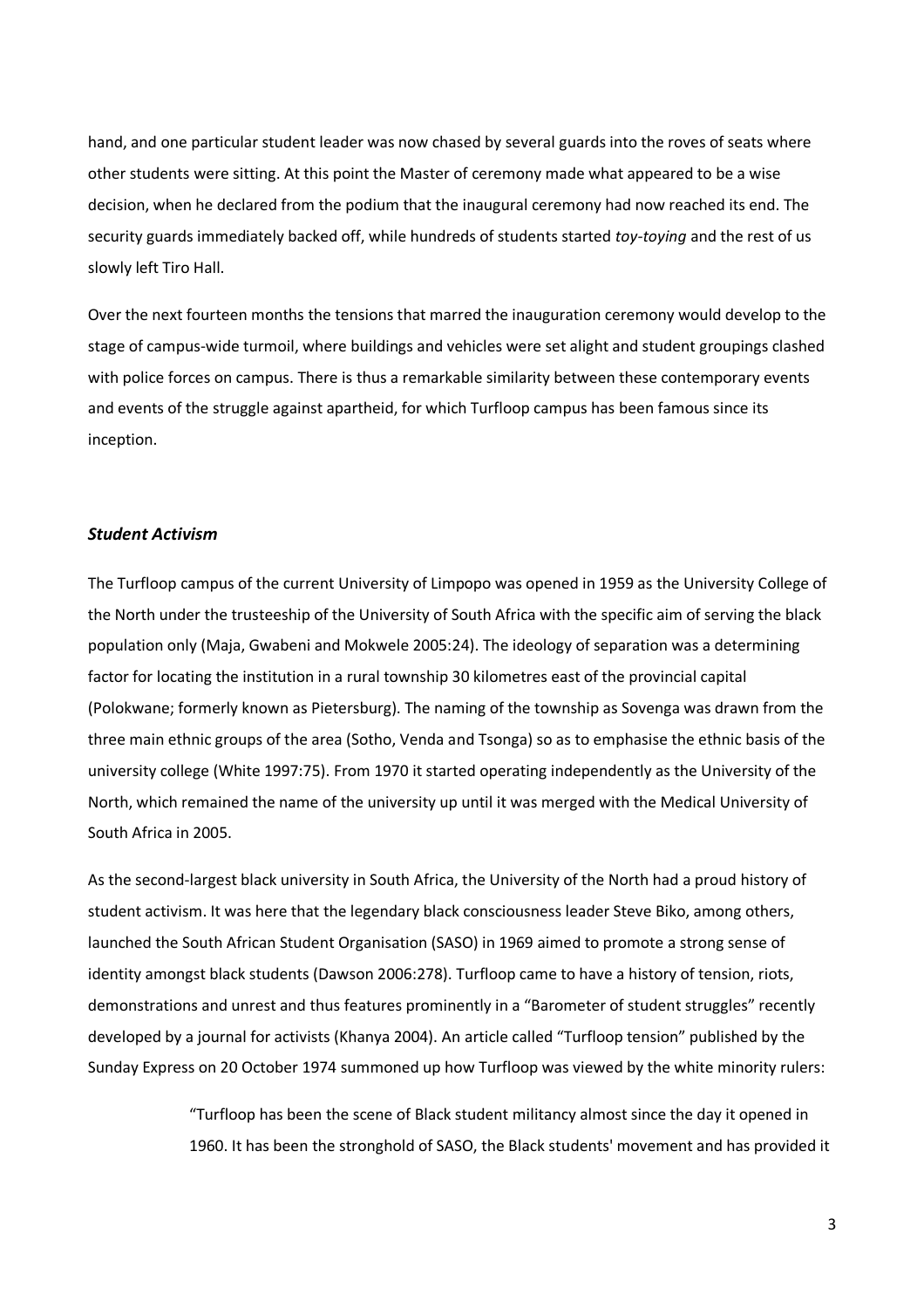hand, and one particular student leader was now chased by several guards into the roves of seats where other students were sitting. At this point the Master of ceremony made what appeared to be a wise decision, when he declared from the podium that the inaugural ceremony had now reached its end. The security guards immediately backed off, while hundreds of students started toy-toying and the rest of us slowly left Tiro Hall.

Over the next fourteen months the tensions that marred the inauguration ceremony would develop to the stage of campus-wide turmoil, where buildings and vehicles were set alight and student groupings clashed with police forces on campus. There is thus a remarkable similarity between these contemporary events and events of the struggle against apartheid, for which Turfloop campus has been famous since its inception.

## Student Activism

The Turfloop campus of the current University of Limpopo was opened in 1959 as the University College of the North under the trusteeship of the University of South Africa with the specific aim of serving the black population only (Maja, Gwabeni and Mokwele 2005:24). The ideology of separation was a determining factor for locating the institution in a rural township 30 kilometres east of the provincial capital (Polokwane; formerly known as Pietersburg). The naming of the township as Sovenga was drawn from the three main ethnic groups of the area (Sotho, Venda and Tsonga) so as to emphasise the ethnic basis of the university college (White 1997:75). From 1970 it started operating independently as the University of the North, which remained the name of the university up until it was merged with the Medical University of South Africa in 2005.

As the second-largest black university in South Africa, the University of the North had a proud history of student activism. It was here that the legendary black consciousness leader Steve Biko, among others, launched the South African Student Organisation (SASO) in 1969 aimed to promote a strong sense of identity amongst black students (Dawson 2006:278). Turfloop came to have a history of tension, riots, demonstrations and unrest and thus features prominently in a "Barometer of student struggles" recently developed by a journal for activists (Khanya 2004). An article called "Turfloop tension" published by the Sunday Express on 20 October 1974 summoned up how Turfloop was viewed by the white minority rulers:

> "Turfloop has been the scene of Black student militancy almost since the day it opened in 1960. It has been the stronghold of SASO, the Black students' movement and has provided it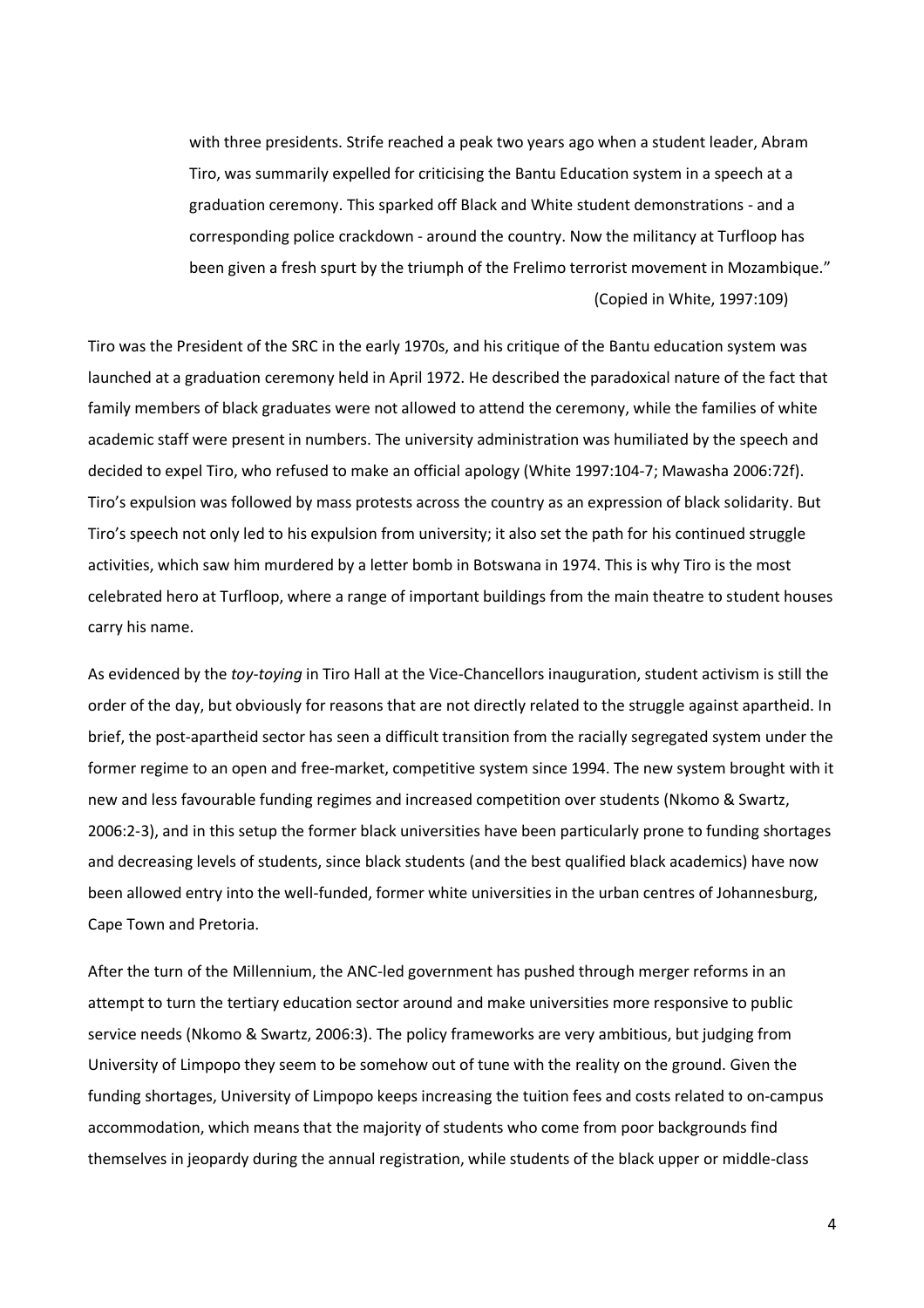with three presidents. Strife reached a peak two years ago when a student leader, Abram Tiro, was summarily expelled for criticising the Bantu Education system in a speech at a graduation ceremony. This sparked off Black and White student demonstrations - and a corresponding police crackdown - around the country. Now the militancy at Turfloop has been given a fresh spurt by the triumph of the Frelimo terrorist movement in Mozambique." (Copied in White, 1997:109)

Tiro was the President of the SRC in the early 1970s, and his critique of the Bantu education system was launched at a graduation ceremony held in April 1972. He described the paradoxical nature of the fact that family members of black graduates were not allowed to attend the ceremony, while the families of white academic staff were present in numbers. The university administration was humiliated by the speech and decided to expel Tiro, who refused to make an official apology (White 1997:104-7; Mawasha 2006:72f). Tiro's expulsion was followed by mass protests across the country as an expression of black solidarity. But Tiro's speech not only led to his expulsion from university; it also set the path for his continued struggle activities, which saw him murdered by a letter bomb in Botswana in 1974. This is why Tiro is the most celebrated hero at Turfloop, where a range of important buildings from the main theatre to student houses carry his name.

As evidenced by the toy-toying in Tiro Hall at the Vice-Chancellors inauguration, student activism is still the order of the day, but obviously for reasons that are not directly related to the struggle against apartheid. In brief, the post-apartheid sector has seen a difficult transition from the racially segregated system under the former regime to an open and free-market, competitive system since 1994. The new system brought with it new and less favourable funding regimes and increased competition over students (Nkomo & Swartz, 2006:2-3), and in this setup the former black universities have been particularly prone to funding shortages and decreasing levels of students, since black students (and the best qualified black academics) have now been allowed entry into the well-funded, former white universities in the urban centres of Johannesburg, Cape Town and Pretoria.

After the turn of the Millennium, the ANC-led government has pushed through merger reforms in an attempt to turn the tertiary education sector around and make universities more responsive to public service needs (Nkomo & Swartz, 2006:3). The policy frameworks are very ambitious, but judging from University of Limpopo they seem to be somehow out of tune with the reality on the ground. Given the funding shortages, University of Limpopo keeps increasing the tuition fees and costs related to on-campus accommodation, which means that the majority of students who come from poor backgrounds find themselves in jeopardy during the annual registration, while students of the black upper or middle-class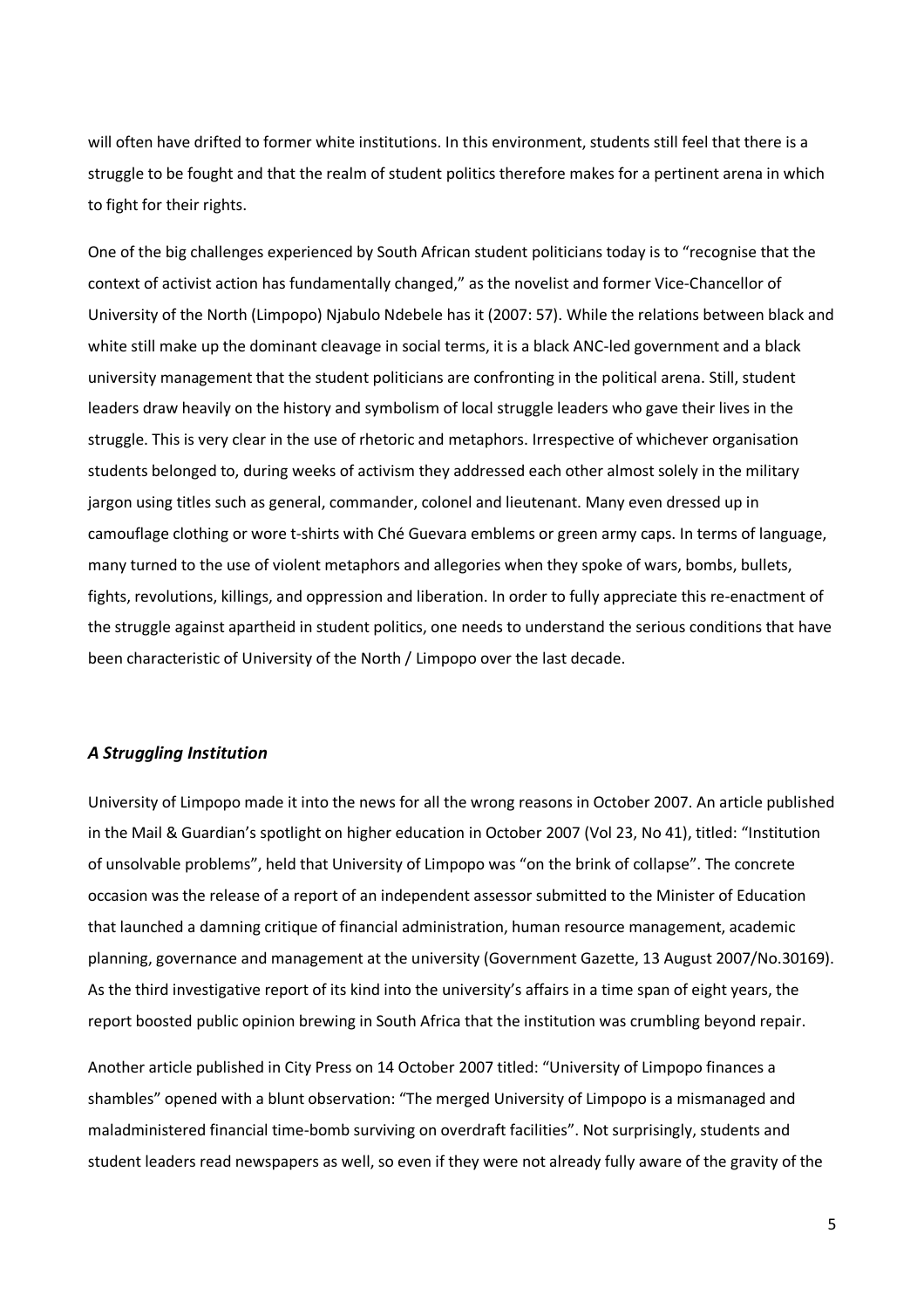will often have drifted to former white institutions. In this environment, students still feel that there is a struggle to be fought and that the realm of student politics therefore makes for a pertinent arena in which to fight for their rights.

One of the big challenges experienced by South African student politicians today is to "recognise that the context of activist action has fundamentally changed," as the novelist and former Vice-Chancellor of University of the North (Limpopo) Njabulo Ndebele has it (2007: 57). While the relations between black and white still make up the dominant cleavage in social terms, it is a black ANC-led government and a black university management that the student politicians are confronting in the political arena. Still, student leaders draw heavily on the history and symbolism of local struggle leaders who gave their lives in the struggle. This is very clear in the use of rhetoric and metaphors. Irrespective of whichever organisation students belonged to, during weeks of activism they addressed each other almost solely in the military jargon using titles such as general, commander, colonel and lieutenant. Many even dressed up in camouflage clothing or wore t-shirts with Ché Guevara emblems or green army caps. In terms of language, many turned to the use of violent metaphors and allegories when they spoke of wars, bombs, bullets, fights, revolutions, killings, and oppression and liberation. In order to fully appreciate this re-enactment of the struggle against apartheid in student politics, one needs to understand the serious conditions that have been characteristic of University of the North / Limpopo over the last decade.

#### A Struggling Institution

University of Limpopo made it into the news for all the wrong reasons in October 2007. An article published in the Mail & Guardian's spotlight on higher education in October 2007 (Vol 23, No 41), titled: "Institution of unsolvable problems", held that University of Limpopo was "on the brink of collapse". The concrete occasion was the release of a report of an independent assessor submitted to the Minister of Education that launched a damning critique of financial administration, human resource management, academic planning, governance and management at the university (Government Gazette, 13 August 2007/No.30169). As the third investigative report of its kind into the university's affairs in a time span of eight years, the report boosted public opinion brewing in South Africa that the institution was crumbling beyond repair.

Another article published in City Press on 14 October 2007 titled: "University of Limpopo finances a shambles" opened with a blunt observation: "The merged University of Limpopo is a mismanaged and maladministered financial time-bomb surviving on overdraft facilities". Not surprisingly, students and student leaders read newspapers as well, so even if they were not already fully aware of the gravity of the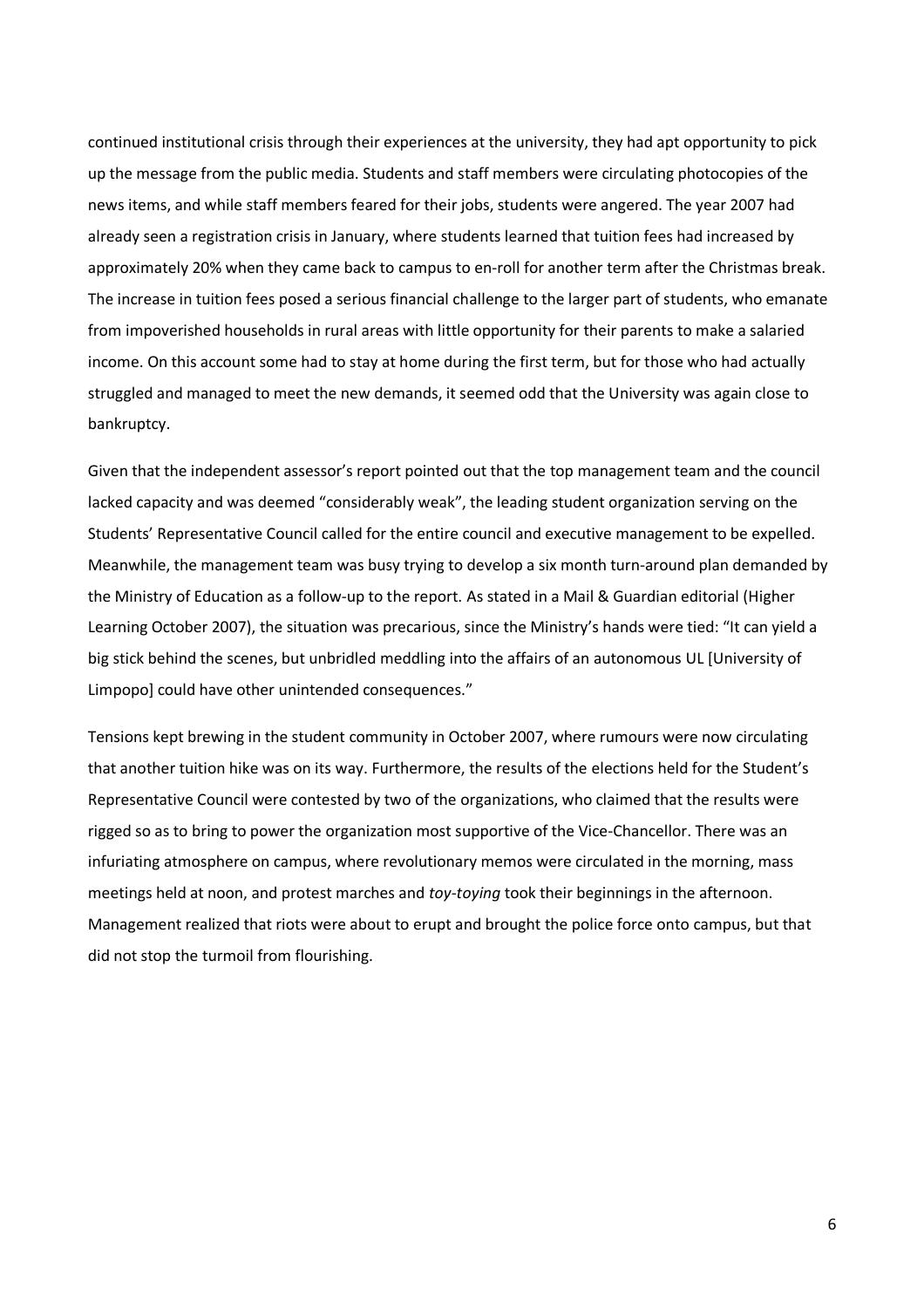continued institutional crisis through their experiences at the university, they had apt opportunity to pick up the message from the public media. Students and staff members were circulating photocopies of the news items, and while staff members feared for their jobs, students were angered. The year 2007 had already seen a registration crisis in January, where students learned that tuition fees had increased by approximately 20% when they came back to campus to en-roll for another term after the Christmas break. The increase in tuition fees posed a serious financial challenge to the larger part of students, who emanate from impoverished households in rural areas with little opportunity for their parents to make a salaried income. On this account some had to stay at home during the first term, but for those who had actually struggled and managed to meet the new demands, it seemed odd that the University was again close to bankruptcy.

Given that the independent assessor's report pointed out that the top management team and the council lacked capacity and was deemed "considerably weak", the leading student organization serving on the Students' Representative Council called for the entire council and executive management to be expelled. Meanwhile, the management team was busy trying to develop a six month turn-around plan demanded by the Ministry of Education as a follow-up to the report. As stated in a Mail & Guardian editorial (Higher Learning October 2007), the situation was precarious, since the Ministry's hands were tied: "It can yield a big stick behind the scenes, but unbridled meddling into the affairs of an autonomous UL [University of Limpopo] could have other unintended consequences."

Tensions kept brewing in the student community in October 2007, where rumours were now circulating that another tuition hike was on its way. Furthermore, the results of the elections held for the Student's Representative Council were contested by two of the organizations, who claimed that the results were rigged so as to bring to power the organization most supportive of the Vice-Chancellor. There was an infuriating atmosphere on campus, where revolutionary memos were circulated in the morning, mass meetings held at noon, and protest marches and toy-toying took their beginnings in the afternoon. Management realized that riots were about to erupt and brought the police force onto campus, but that did not stop the turmoil from flourishing.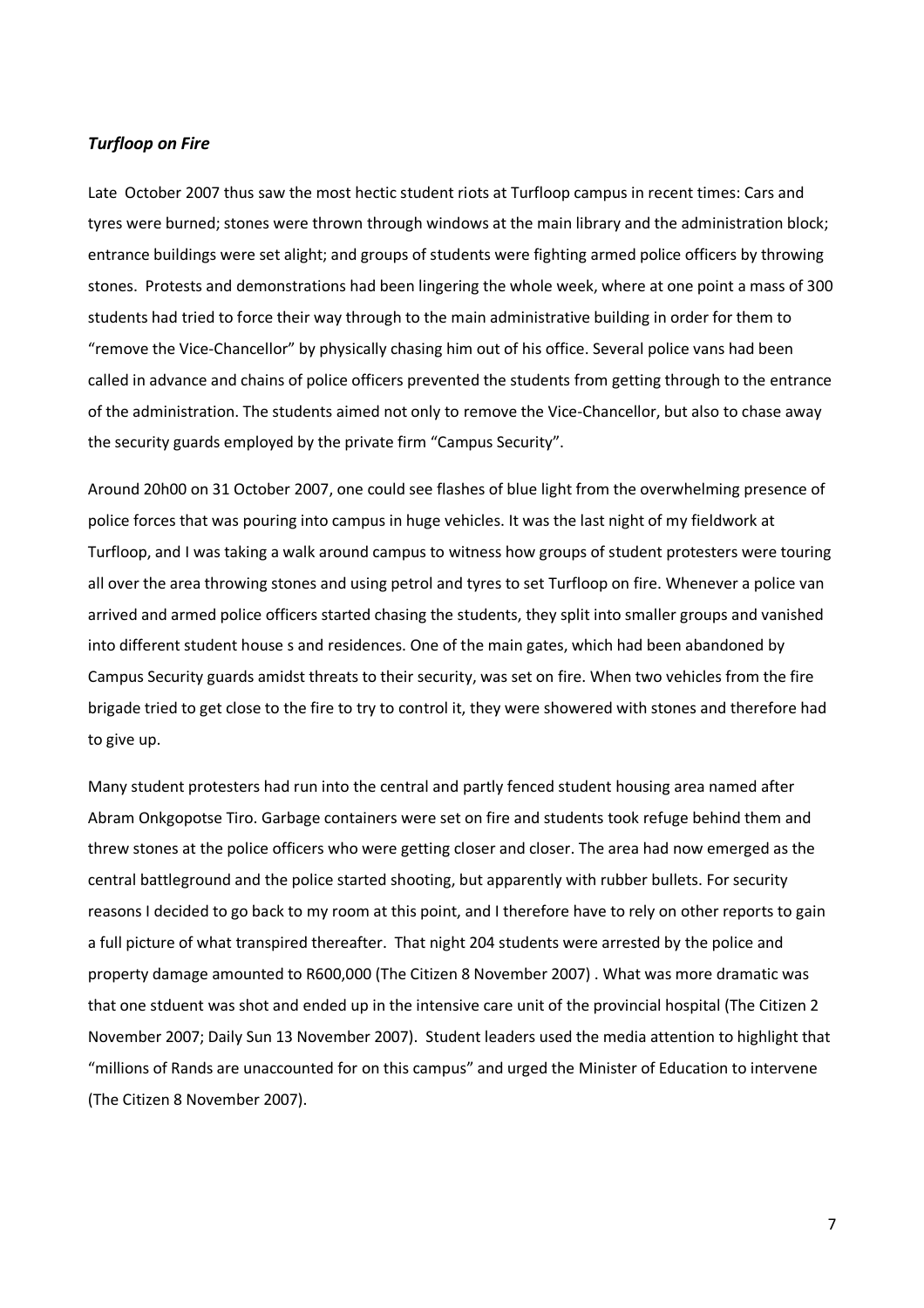## Turfloop on Fire

Late October 2007 thus saw the most hectic student riots at Turfloop campus in recent times: Cars and tyres were burned; stones were thrown through windows at the main library and the administration block; entrance buildings were set alight; and groups of students were fighting armed police officers by throwing stones. Protests and demonstrations had been lingering the whole week, where at one point a mass of 300 students had tried to force their way through to the main administrative building in order for them to "remove the Vice-Chancellor" by physically chasing him out of his office. Several police vans had been called in advance and chains of police officers prevented the students from getting through to the entrance of the administration. The students aimed not only to remove the Vice-Chancellor, but also to chase away the security guards employed by the private firm "Campus Security".

Around 20h00 on 31 October 2007, one could see flashes of blue light from the overwhelming presence of police forces that was pouring into campus in huge vehicles. It was the last night of my fieldwork at Turfloop, and I was taking a walk around campus to witness how groups of student protesters were touring all over the area throwing stones and using petrol and tyres to set Turfloop on fire. Whenever a police van arrived and armed police officers started chasing the students, they split into smaller groups and vanished into different student house s and residences. One of the main gates, which had been abandoned by Campus Security guards amidst threats to their security, was set on fire. When two vehicles from the fire brigade tried to get close to the fire to try to control it, they were showered with stones and therefore had to give up.

Many student protesters had run into the central and partly fenced student housing area named after Abram Onkgopotse Tiro. Garbage containers were set on fire and students took refuge behind them and threw stones at the police officers who were getting closer and closer. The area had now emerged as the central battleground and the police started shooting, but apparently with rubber bullets. For security reasons I decided to go back to my room at this point, and I therefore have to rely on other reports to gain a full picture of what transpired thereafter. That night 204 students were arrested by the police and property damage amounted to R600,000 (The Citizen 8 November 2007) . What was more dramatic was that one stduent was shot and ended up in the intensive care unit of the provincial hospital (The Citizen 2 November 2007; Daily Sun 13 November 2007). Student leaders used the media attention to highlight that "millions of Rands are unaccounted for on this campus" and urged the Minister of Education to intervene (The Citizen 8 November 2007).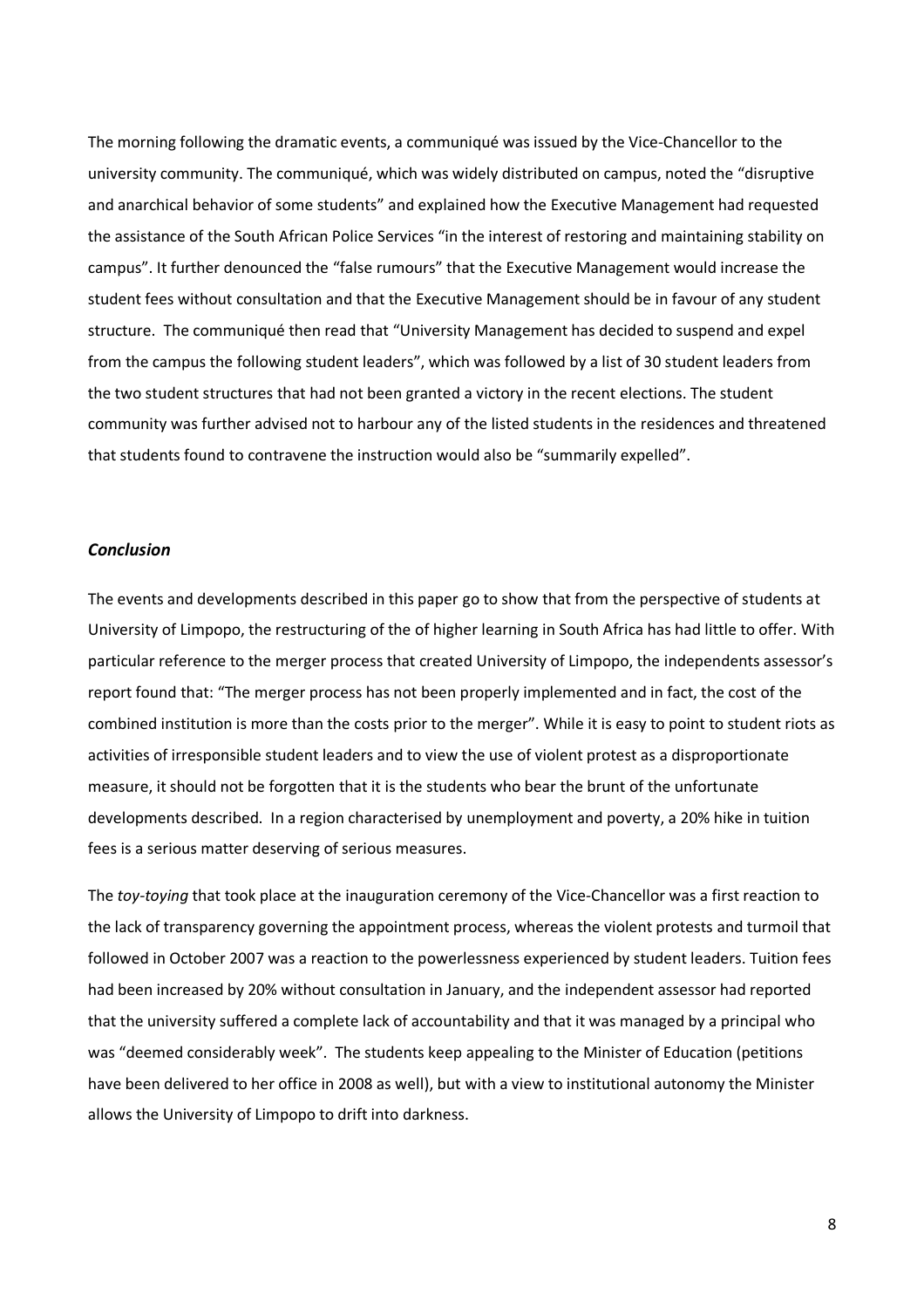The morning following the dramatic events, a communiqué was issued by the Vice-Chancellor to the university community. The communiqué, which was widely distributed on campus, noted the "disruptive and anarchical behavior of some students" and explained how the Executive Management had requested the assistance of the South African Police Services "in the interest of restoring and maintaining stability on campus". It further denounced the "false rumours" that the Executive Management would increase the student fees without consultation and that the Executive Management should be in favour of any student structure. The communiqué then read that "University Management has decided to suspend and expel from the campus the following student leaders", which was followed by a list of 30 student leaders from the two student structures that had not been granted a victory in the recent elections. The student community was further advised not to harbour any of the listed students in the residences and threatened that students found to contravene the instruction would also be "summarily expelled".

### Conclusion

The events and developments described in this paper go to show that from the perspective of students at University of Limpopo, the restructuring of the of higher learning in South Africa has had little to offer. With particular reference to the merger process that created University of Limpopo, the independents assessor's report found that: "The merger process has not been properly implemented and in fact, the cost of the combined institution is more than the costs prior to the merger". While it is easy to point to student riots as activities of irresponsible student leaders and to view the use of violent protest as a disproportionate measure, it should not be forgotten that it is the students who bear the brunt of the unfortunate developments described. In a region characterised by unemployment and poverty, a 20% hike in tuition fees is a serious matter deserving of serious measures.

The toy-toying that took place at the inauguration ceremony of the Vice-Chancellor was a first reaction to the lack of transparency governing the appointment process, whereas the violent protests and turmoil that followed in October 2007 was a reaction to the powerlessness experienced by student leaders. Tuition fees had been increased by 20% without consultation in January, and the independent assessor had reported that the university suffered a complete lack of accountability and that it was managed by a principal who was "deemed considerably week". The students keep appealing to the Minister of Education (petitions have been delivered to her office in 2008 as well), but with a view to institutional autonomy the Minister allows the University of Limpopo to drift into darkness.